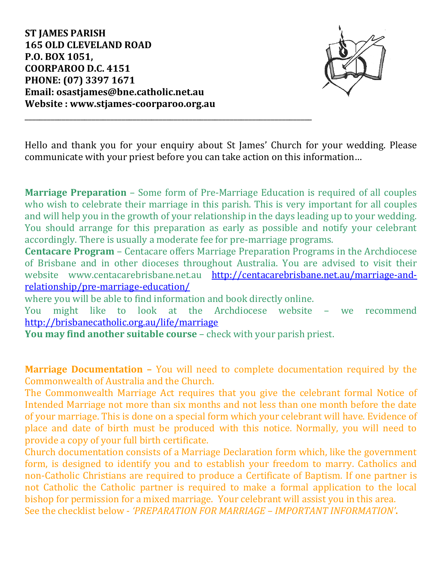**ST JAMES PARISH 165 OLD CLEVELAND ROAD P.O. BOX 1051, COORPAROO D.C. 4151 PHONE: (07) 3397 1671 Email: osastjames@bne.catholic.net.au Website : www.stjames-coorparoo.org.au**



Hello and thank you for your enquiry about St James' Church for your wedding. Please communicate with your priest before you can take action on this information…

**Marriage Preparation** – Some form of Pre-Marriage Education is required of all couples who wish to celebrate their marriage in this parish. This is very important for all couples and will help you in the growth of your relationship in the days leading up to your wedding. You should arrange for this preparation as early as possible and notify your celebrant accordingly. There is usually a moderate fee for pre-marriage programs.

**Centacare Program** – Centacare offers Marriage Preparation Programs in the Archdiocese of Brisbane and in other dioceses throughout Australia. You are advised to visit their website www.centacarebrisbane.net.au [http://centacarebrisbane.net.au/marriage-and](http://centacarebrisbane.net.au/marriage-and-relationship/pre-marriage-education/)[relationship/pre-marriage-education/](http://centacarebrisbane.net.au/marriage-and-relationship/pre-marriage-education/)

where you will be able to find information and book directly online.

\_\_\_\_\_\_\_\_\_\_\_\_\_\_\_\_\_\_\_\_\_\_\_\_\_\_\_\_\_\_\_\_\_\_\_\_\_\_\_\_\_\_\_\_\_\_\_\_\_\_\_\_\_\_\_\_\_\_\_\_\_\_\_\_\_\_\_\_\_\_\_\_\_\_\_\_\_

You might like to look at the Archdiocese website – we recommend <http://brisbanecatholic.org.au/life/marriage>

**You may find another suitable course** – check with your parish priest.

**Marriage Documentation –** You will need to complete documentation required by the Commonwealth of Australia and the Church.

The Commonwealth Marriage Act requires that you give the celebrant formal Notice of Intended Marriage not more than six months and not less than one month before the date of your marriage. This is done on a special form which your celebrant will have. Evidence of place and date of birth must be produced with this notice. Normally, you will need to provide a copy of your full birth certificate.

Church documentation consists of a Marriage Declaration form which, like the government form, is designed to identify you and to establish your freedom to marry. Catholics and non-Catholic Christians are required to produce a Certificate of Baptism. If one partner is not Catholic the Catholic partner is required to make a formal application to the local bishop for permission for a mixed marriage. Your celebrant will assist you in this area. See the checklist below - *'PREPARATION FOR MARRIAGE – IMPORTANT INFORMATION'***.**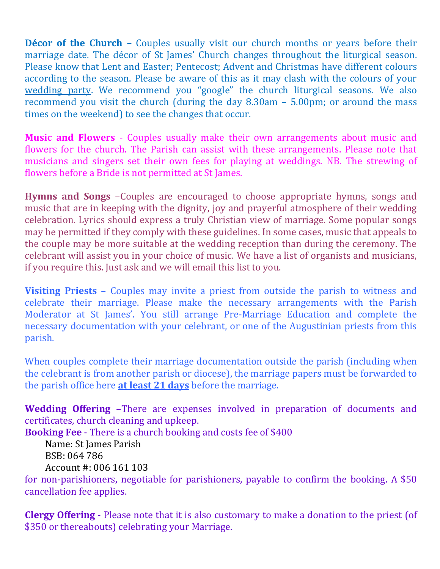**Décor of the Church -** Couples usually visit our church months or years before their marriage date. The décor of St James' Church changes throughout the liturgical season. Please know that Lent and Easter; Pentecost; Advent and Christmas have different colours according to the season. Please be aware of this as it may clash with the colours of your wedding party. We recommend you "google" the church liturgical seasons. We also recommend you visit the church (during the day 8.30am – 5.00pm; or around the mass times on the weekend) to see the changes that occur.

**Music and Flowers** - Couples usually make their own arrangements about music and flowers for the church. The Parish can assist with these arrangements. Please note that musicians and singers set their own fees for playing at weddings. NB. The strewing of flowers before a Bride is not permitted at St James.

**Hymns and Songs** –Couples are encouraged to choose appropriate hymns, songs and music that are in keeping with the dignity, joy and prayerful atmosphere of their wedding celebration. Lyrics should express a truly Christian view of marriage. Some popular songs may be permitted if they comply with these guidelines. In some cases, music that appeals to the couple may be more suitable at the wedding reception than during the ceremony. The celebrant will assist you in your choice of music. We have a list of organists and musicians, if you require this. Just ask and we will email this list to you.

**Visiting Priests** – Couples may invite a priest from outside the parish to witness and celebrate their marriage. Please make the necessary arrangements with the Parish Moderator at St James'. You still arrange Pre-Marriage Education and complete the necessary documentation with your celebrant, or one of the Augustinian priests from this parish.

When couples complete their marriage documentation outside the parish (including when the celebrant is from another parish or diocese), the marriage papers must be forwarded to the parish office here **at least 21 days** before the marriage.

**Wedding Offering** –There are expenses involved in preparation of documents and certificates, church cleaning and upkeep.

**Booking Fee** - There is a church booking and costs fee of \$400

Name: St James Parish BSB: 064 786 Account #: 006 161 103

for non-parishioners, negotiable for parishioners, payable to confirm the booking. A \$50 cancellation fee applies.

**Clergy Offering** - Please note that it is also customary to make a donation to the priest (of \$350 or thereabouts) celebrating your Marriage.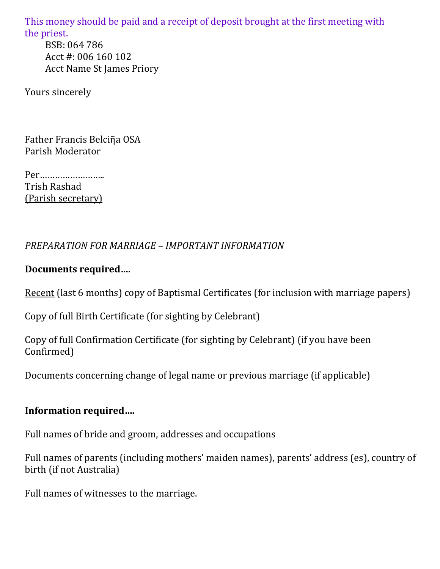This money should be paid and a receipt of deposit brought at the first meeting with the priest. BSB: 064 786 Acct #: 006 160 102 Acct Name St James Priory

Yours sincerely

Father Francis Belciῆa OSA Parish Moderator

Per…………………….. Trish Rashad (Parish secretary)

## *PREPARATION FOR MARRIAGE – IMPORTANT INFORMATION*

## **Documents required….**

Recent (last 6 months) copy of Baptismal Certificates (for inclusion with marriage papers)

Copy of full Birth Certificate (for sighting by Celebrant)

Copy of full Confirmation Certificate (for sighting by Celebrant) (if you have been Confirmed)

Documents concerning change of legal name or previous marriage (if applicable)

#### **Information required….**

Full names of bride and groom, addresses and occupations

Full names of parents (including mothers' maiden names), parents' address (es), country of birth (if not Australia)

Full names of witnesses to the marriage.